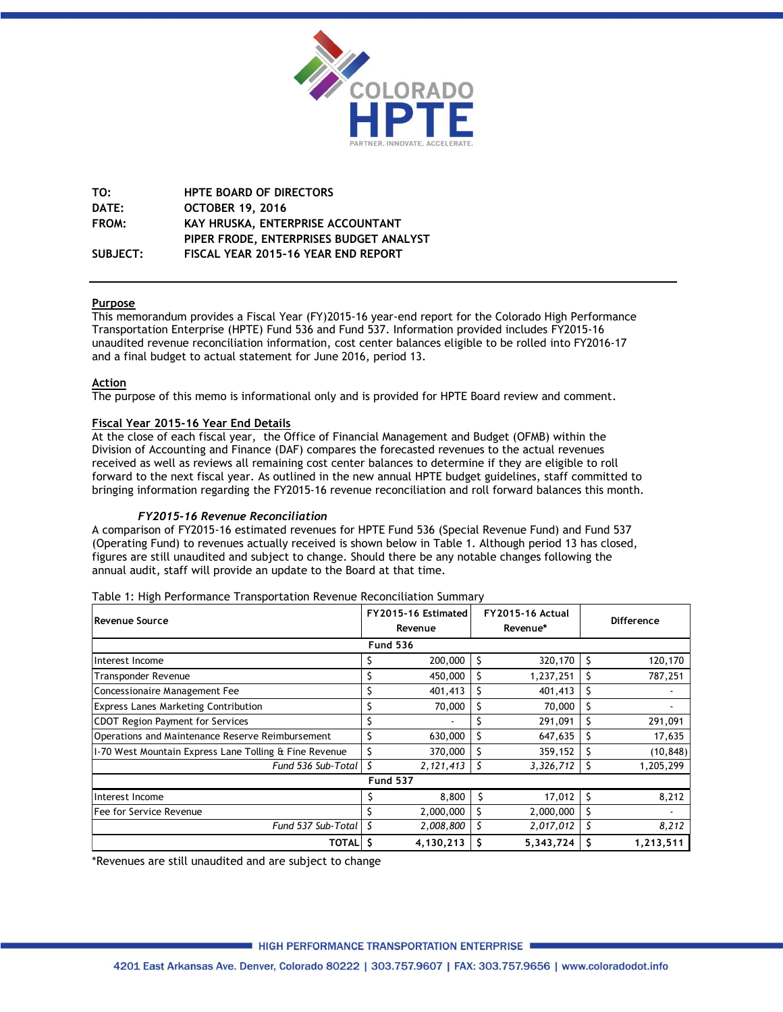

**TO: HPTE BOARD OF DIRECTORS DATE: OCTOBER 19, 2016 FROM: KAY HRUSKA, ENTERPRISE ACCOUNTANT PIPER FRODE, ENTERPRISES BUDGET ANALYST SUBJECT: FISCAL YEAR 2015-16 YEAR END REPORT** 

## **Purpose**

This memorandum provides a Fiscal Year (FY)2015-16 year-end report for the Colorado High Performance Transportation Enterprise (HPTE) Fund 536 and Fund 537. Information provided includes FY2015-16 unaudited revenue reconciliation information, cost center balances eligible to be rolled into FY2016-17 and a final budget to actual statement for June 2016, period 13.

#### **Action**

The purpose of this memo is informational only and is provided for HPTE Board review and comment.

#### **Fiscal Year 2015-16 Year End Details**

At the close of each fiscal year, the Office of Financial Management and Budget (OFMB) within the Division of Accounting and Finance (DAF) compares the forecasted revenues to the actual revenues received as well as reviews all remaining cost center balances to determine if they are eligible to roll forward to the next fiscal year. As outlined in the new annual HPTE budget guidelines, staff committed to bringing information regarding the FY2015-16 revenue reconciliation and roll forward balances this month.

#### *FY2015-16 Revenue Reconciliation*

A comparison of FY2015-16 estimated revenues for HPTE Fund 536 (Special Revenue Fund) and Fund 537 (Operating Fund) to revenues actually received is shown below in Table 1. Although period 13 has closed, figures are still unaudited and subject to change. Should there be any notable changes following the annual audit, staff will provide an update to the Board at that time.

| Revenue Source                                         | FY2015-16 Estimated<br>Revenue |                 |    | <b>FY2015-16 Actual</b><br>Revenue* |   | <b>Difference</b> |
|--------------------------------------------------------|--------------------------------|-----------------|----|-------------------------------------|---|-------------------|
|                                                        | <b>Fund 536</b>                |                 |    |                                     |   |                   |
| Interest Income                                        |                                | 200,000         |    | 320,170                             |   | 120,170           |
| <b>Transponder Revenue</b>                             | Ś                              | 450,000         | S  | 1,237,251                           | S | 787,251           |
| Concessionaire Management Fee                          |                                | 401,413         |    | 401,413                             |   |                   |
| <b>Express Lanes Marketing Contribution</b>            |                                | 70,000          |    | 70,000                              | S |                   |
| <b>CDOT Region Payment for Services</b>                |                                |                 |    | 291,091                             |   | 291,091           |
| Operations and Maintenance Reserve Reimbursement       |                                | 630,000         |    | 647,635                             |   | 17,635            |
| I-70 West Mountain Express Lane Tolling & Fine Revenue |                                | 370,000         |    | 359,152                             |   | (10, 848)         |
| Fund 536 Sub-Total                                     |                                | 2,121,413       | -S | 3,326,712                           | S | 1,205,299         |
|                                                        |                                | <b>Fund 537</b> |    |                                     |   |                   |
| Interest Income                                        |                                | 8,800           |    | 17,012                              |   | 8,212             |
| Fee for Service Revenue                                |                                | 2,000,000       |    | 2,000,000                           |   |                   |
| Fund 537 Sub-Total                                     |                                | 2,008,800       |    | 2,017,012                           |   | 8,212             |
| TOTALI                                                 |                                | 4,130,213       | S  | 5,343,724                           |   | 1,213,511         |

Table 1: High Performance Transportation Revenue Reconciliation Summary

\*Revenues are still unaudited and are subject to change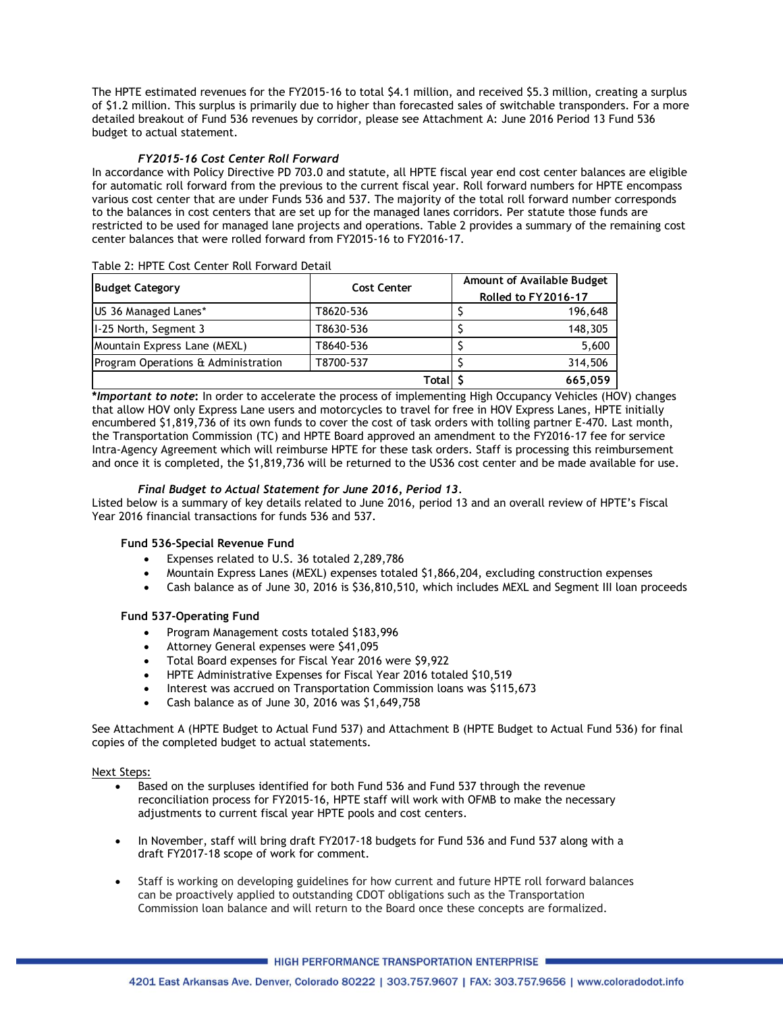The HPTE estimated revenues for the FY2015-16 to total \$4.1 million, and received \$5.3 million, creating a surplus of \$1.2 million. This surplus is primarily due to higher than forecasted sales of switchable transponders. For a more detailed breakout of Fund 536 revenues by corridor, please see Attachment A: June 2016 Period 13 Fund 536 budget to actual statement.

### *FY2015-16 Cost Center Roll Forward*

In accordance with Policy Directive PD 703.0 and statute, all HPTE fiscal year end cost center balances are eligible for automatic roll forward from the previous to the current fiscal year. Roll forward numbers for HPTE encompass various cost center that are under Funds 536 and 537. The majority of the total roll forward number corresponds to the balances in cost centers that are set up for the managed lanes corridors. Per statute those funds are restricted to be used for managed lane projects and operations. Table 2 provides a summary of the remaining cost center balances that were rolled forward from FY2015-16 to FY2016-17.

|                                     | <b>Cost Center</b> | Amount of Available Budget |         |  |  |  |  |
|-------------------------------------|--------------------|----------------------------|---------|--|--|--|--|
| <b>Budget Category</b>              |                    | Rolled to FY2016-17        |         |  |  |  |  |
| US 36 Managed Lanes*                | T8620-536          |                            | 196,648 |  |  |  |  |
| 1-25 North, Segment 3               | T8630-536          |                            | 148,305 |  |  |  |  |
| Mountain Express Lane (MEXL)        | T8640-536          |                            | 5,600   |  |  |  |  |
| Program Operations & Administration | T8700-537          |                            | 314,506 |  |  |  |  |
|                                     | Total              |                            | 665.059 |  |  |  |  |

#### Table 2: HPTE Cost Center Roll Forward Detail

**\****Important to note***:** In order to accelerate the process of implementing High Occupancy Vehicles (HOV) changes that allow HOV only Express Lane users and motorcycles to travel for free in HOV Express Lanes, HPTE initially encumbered \$1,819,736 of its own funds to cover the cost of task orders with tolling partner E-470. Last month, the Transportation Commission (TC) and HPTE Board approved an amendment to the FY2016-17 fee for service Intra-Agency Agreement which will reimburse HPTE for these task orders. Staff is processing this reimbursement and once it is completed, the \$1,819,736 will be returned to the US36 cost center and be made available for use.

#### *Final Budget to Actual Statement for June 2016, Period 13.*

Listed below is a summary of key details related to June 2016, period 13 and an overall review of HPTE's Fiscal Year 2016 financial transactions for funds 536 and 537.

#### **Fund 536-Special Revenue Fund**

- Expenses related to U.S. 36 totaled 2,289,786
- Mountain Express Lanes (MEXL) expenses totaled \$1,866,204, excluding construction expenses
- Cash balance as of June 30, 2016 is \$36,810,510, which includes MEXL and Segment III loan proceeds

#### **Fund 537-Operating Fund**

- Program Management costs totaled \$183,996
- Attorney General expenses were \$41,095
- Total Board expenses for Fiscal Year 2016 were \$9,922
- HPTE Administrative Expenses for Fiscal Year 2016 totaled \$10,519
- Interest was accrued on Transportation Commission loans was \$115,673
- Cash balance as of June 30, 2016 was \$1,649,758

See Attachment A (HPTE Budget to Actual Fund 537) and Attachment B (HPTE Budget to Actual Fund 536) for final copies of the completed budget to actual statements.

#### Next Steps:

- Based on the surpluses identified for both Fund 536 and Fund 537 through the revenue reconciliation process for FY2015-16, HPTE staff will work with OFMB to make the necessary adjustments to current fiscal year HPTE pools and cost centers.
- In November, staff will bring draft FY2017-18 budgets for Fund 536 and Fund 537 along with a draft FY2017-18 scope of work for comment.
- Staff is working on developing guidelines for how current and future HPTE roll forward balances can be proactively applied to outstanding CDOT obligations such as the Transportation Commission loan balance and will return to the Board once these concepts are formalized.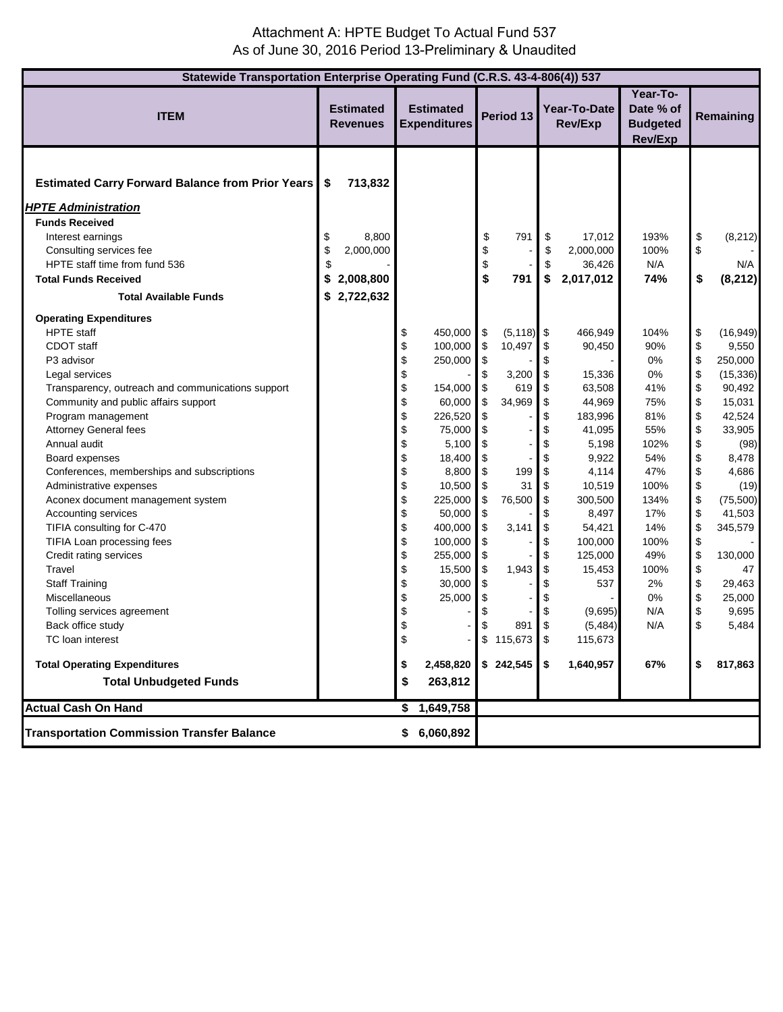## Attachment A: HPTE Budget To Actual Fund 537 As of June 30, 2016 Period 13-Preliminary & Unaudited

| Statewide Transportation Enterprise Operating Fund (C.R.S. 43-4-806(4)) 537                                                                                                                                                                                                                                                                                                                                                                                                                                 |                                     |                                                         |                                                                                                          |                                                                                                                                                                     |                                                                            |                                                                             |                                                                                                            |                                                                                                                                                                            |                                                                                                                        |                                                                                                    |                                                                                                                                                        |
|-------------------------------------------------------------------------------------------------------------------------------------------------------------------------------------------------------------------------------------------------------------------------------------------------------------------------------------------------------------------------------------------------------------------------------------------------------------------------------------------------------------|-------------------------------------|---------------------------------------------------------|----------------------------------------------------------------------------------------------------------|---------------------------------------------------------------------------------------------------------------------------------------------------------------------|----------------------------------------------------------------------------|-----------------------------------------------------------------------------|------------------------------------------------------------------------------------------------------------|----------------------------------------------------------------------------------------------------------------------------------------------------------------------------|------------------------------------------------------------------------------------------------------------------------|----------------------------------------------------------------------------------------------------|--------------------------------------------------------------------------------------------------------------------------------------------------------|
| <b>ITEM</b>                                                                                                                                                                                                                                                                                                                                                                                                                                                                                                 | <b>Estimated</b><br><b>Revenues</b> |                                                         | <b>Estimated</b><br><b>Expenditures</b>                                                                  |                                                                                                                                                                     | Period 13                                                                  |                                                                             |                                                                                                            | Year-To-Date<br>Rev/Exp                                                                                                                                                    | Year-To-<br>Date % of<br><b>Budgeted</b><br><b>Rev/Exp</b>                                                             | Remaining                                                                                          |                                                                                                                                                        |
| <b>Estimated Carry Forward Balance from Prior Years</b><br><b>HPTE Administration</b><br><b>Funds Received</b><br>Interest earnings<br>Consulting services fee<br>HPTE staff time from fund 536<br><b>Total Funds Received</b><br><b>Total Available Funds</b><br><b>Operating Expenditures</b><br><b>HPTE</b> staff<br>CDOT staff<br>P3 advisor<br>Legal services<br>Transparency, outreach and communications support<br>Community and public affairs support                                             | \$<br>\$<br>\$<br>\$<br>\$          | 713,832<br>8,800<br>2,000,000<br>2,008,800<br>2,722,632 | \$<br>\$<br>\$<br>\$<br>\$<br>\$                                                                         | 450,000<br>100,000<br>250,000<br>154,000<br>60,000                                                                                                                  | \$<br>\$<br>\$<br>\$<br>\$<br>\$<br>\$<br>\$<br>\$                         | 791<br>791<br>$(5, 118)$ \$<br>10,497<br>3,200<br>619<br>34,969             | \$<br>\$<br>\$<br>\$<br>\$<br>\$<br>\$<br>\$<br>\$                                                         | 17,012<br>2,000,000<br>36,426<br>2,017,012<br>466,949<br>90,450<br>15,336<br>63,508<br>44,969                                                                              | 193%<br>100%<br>N/A<br>74%<br>104%<br>90%<br>0%<br>0%<br>41%<br>75%                                                    | \$<br>\$<br>\$<br>\$<br>\$<br>\$<br>\$<br>\$<br>\$                                                 | (8, 212)<br>N/A<br>(8, 212)<br>(16, 949)<br>9,550<br>250,000<br>(15, 336)<br>90,492<br>15,031                                                          |
| Program management<br>Attorney General fees<br>Annual audit<br>Board expenses<br>Conferences, memberships and subscriptions<br>Administrative expenses<br>Aconex document management system<br>Accounting services<br>TIFIA consulting for C-470<br>TIFIA Loan processing fees<br>Credit rating services<br>Travel<br><b>Staff Training</b><br>Miscellaneous<br>Tolling services agreement<br>Back office study<br>TC loan interest<br><b>Total Operating Expenditures</b><br><b>Total Unbudgeted Funds</b> |                                     |                                                         | \$<br>\$<br>\$<br>\$<br>\$<br>\$<br>\$<br>\$<br>\$<br>\$<br>\$<br>\$<br>\$<br>\$<br>\$<br>\$<br>\$<br>\$ | 226,520<br>75,000<br>5,100<br>18,400<br>8,800<br>10,500<br>225,000<br>50,000<br>400,000<br>100,000<br>255,000<br>15,500<br>30,000<br>25,000<br>2,458,820<br>263,812 | \$<br>\$<br>\$<br>\$<br>\$<br>\$<br>\$<br>\$<br>\$<br>\$<br>\$<br>\$<br>\$ | 199<br>31<br>76,500<br>3,141<br>1,943<br>891<br>\$115,673<br>$$242,545$ \\$ | \$<br>\$<br>\$<br>\$<br>\$<br>\$<br>\$<br>\$<br>\$<br>\$<br>\$<br>\$<br>\$<br>\$<br>\$<br>\$<br>$\sqrt{3}$ | 183,996<br>41,095<br>5,198<br>9,922<br>4,114<br>10,519<br>300,500<br>8,497<br>54,421<br>100,000<br>125,000<br>15,453<br>537<br>(9,695)<br>(5, 484)<br>115,673<br>1,640,957 | 81%<br>55%<br>102%<br>54%<br>47%<br>100%<br>134%<br>17%<br>14%<br>100%<br>49%<br>100%<br>2%<br>0%<br>N/A<br>N/A<br>67% | \$<br>\$<br>\$<br>\$<br>\$<br>\$<br>\$<br>\$<br>\$<br>\$<br>\$<br>\$<br>\$<br>\$<br>\$<br>\$<br>\$ | 42,524<br>33,905<br>(98)<br>8,478<br>4,686<br>(19)<br>(75, 500)<br>41,503<br>345,579<br>130,000<br>47<br>29,463<br>25,000<br>9,695<br>5,484<br>817,863 |
| <b>Actual Cash On Hand</b>                                                                                                                                                                                                                                                                                                                                                                                                                                                                                  |                                     |                                                         | \$                                                                                                       | 1,649,758                                                                                                                                                           |                                                                            |                                                                             |                                                                                                            |                                                                                                                                                                            |                                                                                                                        |                                                                                                    |                                                                                                                                                        |
| <b>Transportation Commission Transfer Balance</b>                                                                                                                                                                                                                                                                                                                                                                                                                                                           |                                     |                                                         |                                                                                                          | \$6,060,892                                                                                                                                                         |                                                                            |                                                                             |                                                                                                            |                                                                                                                                                                            |                                                                                                                        |                                                                                                    |                                                                                                                                                        |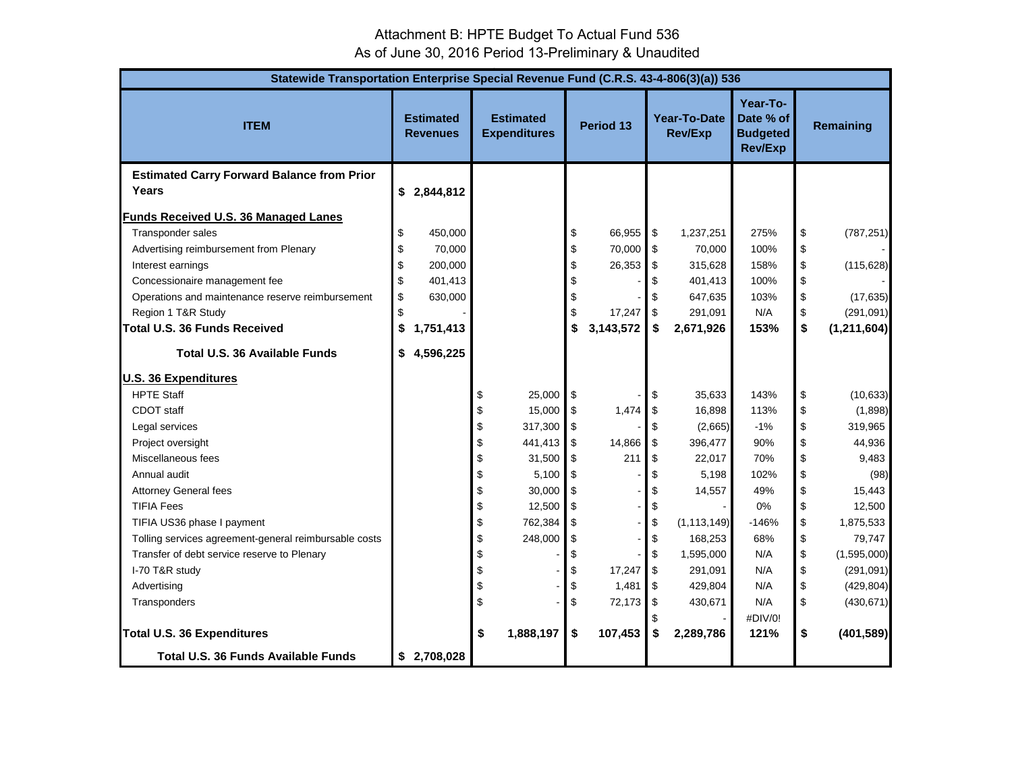# Attachment B: HPTE Budget To Actual Fund 536 As of June 30, 2016 Period 13-Preliminary & Unaudited

| Statewide Transportation Enterprise Special Revenue Fund (C.R.S. 43-4-806(3)(a)) 536 |    |                                     |    |                                         |                           |             |                   |                                |                                                            |                                           |               |  |  |
|--------------------------------------------------------------------------------------|----|-------------------------------------|----|-----------------------------------------|---------------------------|-------------|-------------------|--------------------------------|------------------------------------------------------------|-------------------------------------------|---------------|--|--|
| <b>ITEM</b>                                                                          |    | <b>Estimated</b><br><b>Revenues</b> |    | <b>Estimated</b><br><b>Expenditures</b> | Period 13                 |             |                   | Year-To-Date<br><b>Rev/Exp</b> | Year-To-<br>Date % of<br><b>Budgeted</b><br><b>Rev/Exp</b> | Remaining                                 |               |  |  |
| <b>Estimated Carry Forward Balance from Prior</b>                                    |    |                                     |    |                                         |                           |             |                   |                                |                                                            |                                           |               |  |  |
| Years                                                                                |    | \$2,844,812                         |    |                                         |                           |             |                   |                                |                                                            |                                           |               |  |  |
| Funds Received U.S. 36 Managed Lanes                                                 |    |                                     |    |                                         |                           |             |                   |                                |                                                            |                                           |               |  |  |
| Transponder sales                                                                    | \$ | 450,000                             |    |                                         | \$                        | 66,955 \$   |                   | 1,237,251                      | 275%                                                       | \$                                        | (787, 251)    |  |  |
| Advertising reimbursement from Plenary                                               | \$ | 70,000                              |    |                                         | \$                        | 70,000 \$   |                   | 70,000                         | 100%                                                       | \$                                        |               |  |  |
| Interest earnings                                                                    | \$ | 200,000                             |    |                                         | \$                        | $26,353$ \$ |                   | 315,628                        | 158%                                                       | \$                                        | (115, 628)    |  |  |
| Concessionaire management fee                                                        | \$ | 401,413                             |    |                                         | \$                        |             | \$                | 401,413                        | 100%                                                       | \$                                        |               |  |  |
| Operations and maintenance reserve reimbursement                                     | \$ | 630,000                             |    |                                         | \$                        |             | \$                | 647,635                        | 103%                                                       | \$                                        | (17, 635)     |  |  |
| Region 1 T&R Study                                                                   | \$ |                                     |    |                                         | \$                        | 17,247      | \$                | 291,091                        | N/A                                                        | $\, \, \raisebox{12pt}{$\scriptstyle \$}$ | (291, 091)    |  |  |
| <b>Total U.S. 36 Funds Received</b>                                                  | \$ | 1,751,413                           |    |                                         | \$                        | 3,143,572   | \$                | 2,671,926                      | 153%                                                       | \$                                        | (1, 211, 604) |  |  |
| Total U.S. 36 Available Funds                                                        | \$ | 4,596,225                           |    |                                         |                           |             |                   |                                |                                                            |                                           |               |  |  |
| <b>U.S. 36 Expenditures</b>                                                          |    |                                     |    |                                         |                           |             |                   |                                |                                                            |                                           |               |  |  |
| <b>HPTE Staff</b>                                                                    |    |                                     | \$ | 25,000                                  | \$                        |             | \$                | 35,633                         | 143%                                                       | \$                                        | (10, 633)     |  |  |
| CDOT staff                                                                           |    |                                     | \$ | 15,000                                  | $\boldsymbol{\mathsf{S}}$ | 1,474       | \$                | 16,898                         | 113%                                                       | \$                                        | (1,898)       |  |  |
| Legal services                                                                       |    |                                     | \$ | 317,300                                 | \$                        |             | \$                | (2,665)                        | $-1%$                                                      | \$                                        | 319,965       |  |  |
| Project oversight                                                                    |    |                                     | \$ | 441,413                                 | \$                        | 14,866      | \$                | 396,477                        | 90%                                                        | \$                                        | 44,936        |  |  |
| Miscellaneous fees                                                                   |    |                                     | \$ | 31,500                                  | \$                        | 211         | \$                | 22,017                         | 70%                                                        | \$                                        | 9,483         |  |  |
| Annual audit                                                                         |    |                                     | \$ | 5,100                                   | \$                        |             | \$                | 5,198                          | 102%                                                       | \$                                        | (98)          |  |  |
| <b>Attorney General fees</b>                                                         |    |                                     | \$ | 30,000                                  | \$                        |             | \$                | 14,557                         | 49%                                                        | \$                                        | 15,443        |  |  |
| <b>TIFIA Fees</b>                                                                    |    |                                     | \$ | 12,500                                  | \$                        |             | \$                |                                | 0%                                                         | \$                                        | 12,500        |  |  |
| TIFIA US36 phase I payment                                                           |    |                                     | \$ | 762,384                                 | \$                        |             | \$                | (1, 113, 149)                  | $-146%$                                                    | \$                                        | 1,875,533     |  |  |
| Tolling services agreement-general reimbursable costs                                |    |                                     | \$ | 248,000                                 | \$                        |             | \$                | 168,253                        | 68%                                                        | \$                                        | 79,747        |  |  |
| Transfer of debt service reserve to Plenary                                          |    |                                     | \$ |                                         | \$                        |             | \$                | 1,595,000                      | N/A                                                        | \$                                        | (1,595,000)   |  |  |
| I-70 T&R study                                                                       |    |                                     | \$ |                                         | \$                        | 17,247      | $\boldsymbol{\$}$ | 291,091                        | N/A                                                        | \$                                        | (291, 091)    |  |  |
| Advertising                                                                          |    |                                     | \$ |                                         | \$                        | 1,481       | \$                | 429,804                        | N/A                                                        | \$                                        | (429, 804)    |  |  |
| Transponders                                                                         |    |                                     | \$ |                                         | \$                        | 72,173      | \$                | 430,671                        | N/A                                                        | \$                                        | (430, 671)    |  |  |
| Total U.S. 36 Expenditures                                                           |    |                                     | \$ | 1,888,197                               |                           | 107,453     | \$<br>\$          | 2,289,786                      | #DIV/0!<br>121%                                            | \$                                        |               |  |  |
| <b>Total U.S. 36 Funds Available Funds</b>                                           |    | \$2,708,028                         |    |                                         | \$                        |             |                   |                                |                                                            |                                           | (401, 589)    |  |  |
|                                                                                      |    |                                     |    |                                         |                           |             |                   |                                |                                                            |                                           |               |  |  |